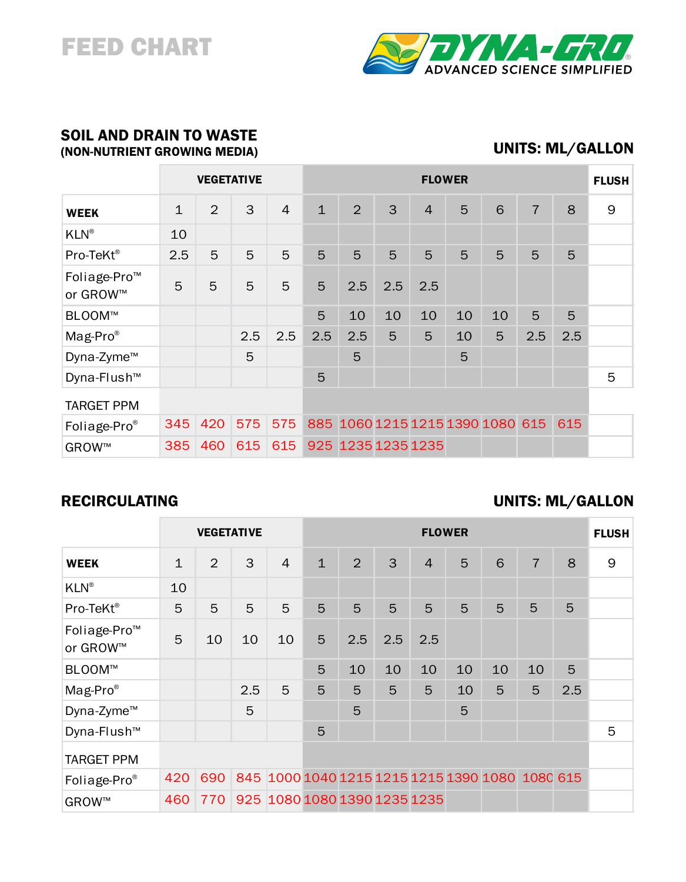# FEED CHART



### SOIL AND DRAIN TO WASTE (NON-NUTRIENT GROWING MEDIA)

## UNITS: ML/GALLON

|                                      | <b>VEGETATIVE</b> |                |     |                | <b>FLOWER</b> |                    |     |                |    |                                      |                |     | <b>FLUSH</b> |
|--------------------------------------|-------------------|----------------|-----|----------------|---------------|--------------------|-----|----------------|----|--------------------------------------|----------------|-----|--------------|
| <b>WEEK</b>                          | $\mathbf 1$       | $\overline{2}$ | 3   | $\overline{4}$ | $\mathbf 1$   | 2                  | 3   | $\overline{4}$ | 5  | 6                                    | $\overline{7}$ | 8   | 9            |
| <b>KLN®</b>                          | 10                |                |     |                |               |                    |     |                |    |                                      |                |     |              |
| Pro-TeKt®                            | 2.5               | 5              | 5   | 5              | 5             | 5                  | 5   | 5              | 5  | 5                                    | 5              | 5   |              |
| Foliage-Pro <sup>™</sup><br>or GROW™ | 5                 | 5              | 5   | 5              | 5             | 2.5                | 2.5 | 2.5            |    |                                      |                |     |              |
| BLOOM™                               |                   |                |     |                | 5             | 10                 | 10  | 10             | 10 | 10                                   | 5              | 5   |              |
| Mag-Pro <sup>®</sup>                 |                   |                | 2.5 | 2.5            | 2.5           | 2.5                | 5   | 5              | 10 | 5                                    | 2.5            | 2.5 |              |
| Dyna-Zyme <sup>™</sup>               |                   |                | 5   |                |               | 5                  |     |                | 5  |                                      |                |     |              |
| Dyna-Flush <sup>™</sup>              |                   |                |     |                | 5             |                    |     |                |    |                                      |                |     | 5            |
| <b>TARGET PPM</b>                    |                   |                |     |                |               |                    |     |                |    |                                      |                |     |              |
| Foliage-Pro <sup>®</sup>             | 345               | 420            | 575 | 575            |               |                    |     |                |    | 885 1060 1215 1215 1390 1080 615 615 |                |     |              |
| GROW™                                | 385               | 460            | 615 | 615            |               | 925 1235 1235 1235 |     |                |    |                                      |                |     |              |

## RECIRCULATING

### UNITS: ML/GALLON

|                                      | <b>VEGETATIVE</b> |     |     |                                                 | <b>FLOWER</b> |     |     |                |    |    |                |     | <b>FLUSH</b> |
|--------------------------------------|-------------------|-----|-----|-------------------------------------------------|---------------|-----|-----|----------------|----|----|----------------|-----|--------------|
| <b>WEEK</b>                          | $\mathbf 1$       | 2   | 3   | $\overline{4}$                                  | $\mathbf{1}$  | 2   | 3   | $\overline{4}$ | 5  | 6  | $\overline{7}$ | 8   | 9            |
| <b>KLN®</b>                          | 10                |     |     |                                                 |               |     |     |                |    |    |                |     |              |
| Pro-TeKt®                            | 5                 | 5   | 5   | 5                                               | 5             | 5   | 5   | 5              | 5  | 5  | 5              | 5   |              |
| Foliage-Pro <sup>™</sup><br>or GROW™ | 5                 | 10  | 10  | 10                                              | 5             | 2.5 | 2.5 | 2.5            |    |    |                |     |              |
| BLOOM™                               |                   |     |     |                                                 | 5             | 10  | 10  | 10             | 10 | 10 | 10             | 5   |              |
| $Mag$ -Pro <sup>®</sup>              |                   |     | 2.5 | 5                                               | 5             | 5   | 5   | 5              | 10 | 5  | 5              | 2.5 |              |
| Dyna-Zyme <sup>™</sup>               |                   |     | 5   |                                                 |               | 5   |     |                | 5  |    |                |     |              |
| Dyna-Flush <sup>™</sup>              |                   |     |     |                                                 | 5             |     |     |                |    |    |                |     | 5            |
| <b>TARGET PPM</b>                    |                   |     |     |                                                 |               |     |     |                |    |    |                |     |              |
| Foliage-Pro®                         | 420               | 690 |     | 845 1000 1040 1215 1215 1215 1390 1080 1080 615 |               |     |     |                |    |    |                |     |              |
| GROW™                                | 460               | 770 |     | 925 1080 1080 1390 1235 1235                    |               |     |     |                |    |    |                |     |              |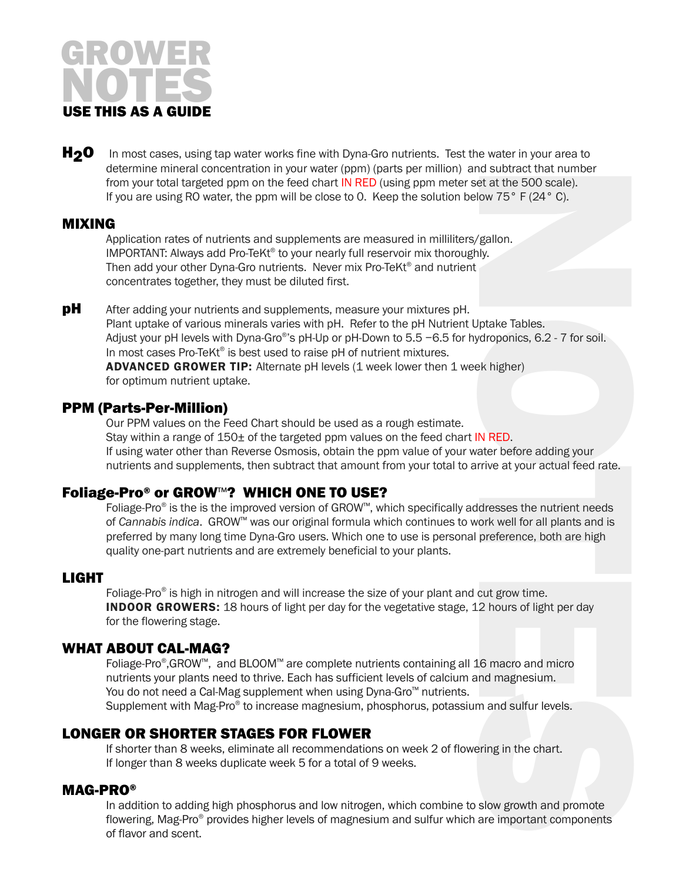

H<sub>2</sub>O In most cases, using tap water works fine with Dyna-Gro nutrients. Test the water in your area to determine mineral concentration in your water (ppm) (parts per million) and subtract that number from your total targeted ppm on the feed chart IN RED (using ppm meter set at the 500 scale). If you are using RO water, the ppm will be close to 0. Keep the solution below  $75^{\circ}$  F (24 $^{\circ}$  C).

#### MIXING

Application rates of nutrients and supplements are measured in milliliters/gallon. IMPORTANT: Always add Pro-TeKt® to your nearly full reservoir mix thoroughly. Then add your other Dyna-Gro nutrients. Never mix Pro-TeKt<sup>®</sup> and nutrient concentrates together, they must be diluted first.

NOTES **pH** After adding your nutrients and supplements, measure your mixtures pH. Plant uptake of various minerals varies with pH. Refer to the pH Nutrient Uptake Tables. Adjust your pH levels with Dyna-Gro<sup>®</sup>'s pH-Up or pH-Down to 5.5 −6.5 for hydroponics, 6.2 - 7 for soil. In most cases Pro-TeKt<sup>®</sup> is best used to raise pH of nutrient mixtures. ADVANCED GROWER TIP: Alternate pH levels (1 week lower then 1 week higher) for optimum nutrient uptake.

#### PPM (Parts-Per-Million)

Our PPM values on the Feed Chart should be used as a rough estimate. Stay within a range of  $150<sub>\pm</sub>$  of the targeted ppm values on the feed chart IN RED. If using water other than Reverse Osmosis, obtain the ppm value of your water before adding your nutrients and supplements, then subtract that amount from your total to arrive at your actual feed rate.

#### Foliage-Pro® or GROW™? WHICH ONE TO USE?

Foliage-Pro® is the is the improved version of GROW™, which specifically addresses the nutrient needs of *Cannabis indica*. GROW™ was our original formula which continues to work well for all plants and is preferred by many long time Dyna-Gro users. Which one to use is personal preference, both are high quality one-part nutrients and are extremely beneficial to your plants.

#### LIGHT

Foliage-Pro® is high in nitrogen and will increase the size of your plant and cut grow time. **INDOOR GROWERS:** 18 hours of light per day for the vegetative stage, 12 hours of light per day for the flowering stage.

#### WHAT ABOUT CAL-MAG?

Foliage-Pro®,GROW™, and BLOOM™ are complete nutrients containing all 16 macro and micro nutrients your plants need to thrive. Each has sufficient levels of calcium and magnesium. You do not need a Cal-Mag supplement when using Dyna-Gro™ nutrients. Supplement with Mag-Pro® to increase magnesium, phosphorus, potassium and sulfur levels.

#### LONGER OR SHORTER STAGES FOR FLOWER

If shorter than 8 weeks, eliminate all recommendations on week 2 of flowering in the chart. If longer than 8 weeks duplicate week 5 for a total of 9 weeks.

#### MAG-PRO®

In addition to adding high phosphorus and low nitrogen, which combine to slow growth and promote flowering, Mag-Pro® provides higher levels of magnesium and sulfur which are important components of flavor and scent.